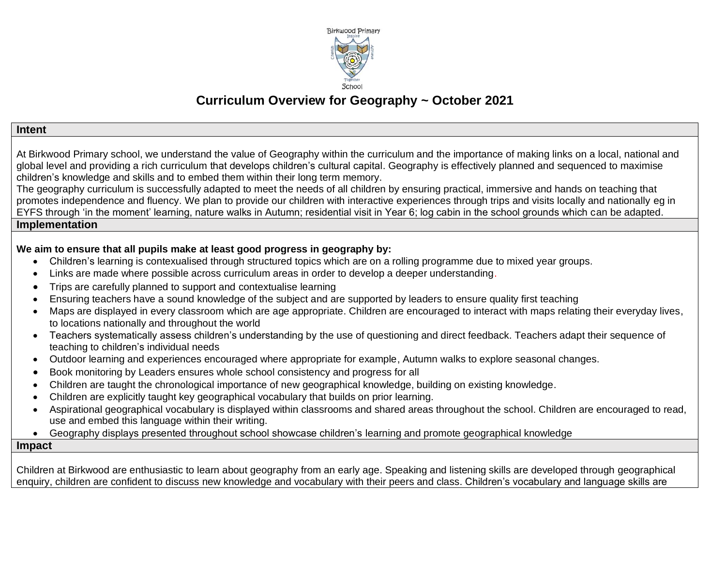

# **Curriculum Overview for Geography ~ October 2021**

#### **Intent**

At Birkwood Primary school, we understand the value of Geography within the curriculum and the importance of making links on a local, national and global level and providing a rich curriculum that develops children's cultural capital. Geography is effectively planned and sequenced to maximise children's knowledge and skills and to embed them within their long term memory.

The geography curriculum is successfully adapted to meet the needs of all children by ensuring practical, immersive and hands on teaching that promotes independence and fluency. We plan to provide our children with interactive experiences through trips and visits locally and nationally eg in EYFS through 'in the moment' learning, nature walks in Autumn; residential visit in Year 6; log cabin in the school grounds which can be adapted. **Implementation**

### **We aim to ensure that all pupils make at least good progress in geography by:**

- Children's learning is contexualised through structured topics which are on a rolling programme due to mixed year groups.
- Links are made where possible across curriculum areas in order to develop a deeper understanding.
- Trips are carefully planned to support and contextualise learning
- Ensuring teachers have a sound knowledge of the subject and are supported by leaders to ensure quality first teaching
- Maps are displayed in every classroom which are age appropriate. Children are encouraged to interact with maps relating their everyday lives, to locations nationally and throughout the world
- Teachers systematically assess children's understanding by the use of questioning and direct feedback. Teachers adapt their sequence of teaching to children's individual needs
- Outdoor learning and experiences encouraged where appropriate for example, Autumn walks to explore seasonal changes.
- Book monitoring by Leaders ensures whole school consistency and progress for all
- Children are taught the chronological importance of new geographical knowledge, building on existing knowledge.
- Children are explicitly taught key geographical vocabulary that builds on prior learning.
- Aspirational geographical vocabulary is displayed within classrooms and shared areas throughout the school. Children are encouraged to read, use and embed this language within their writing.
- Geography displays presented throughout school showcase children's learning and promote geographical knowledge

#### **Impact**

Children at Birkwood are enthusiastic to learn about geography from an early age. Speaking and listening skills are developed through geographical enquiry, children are confident to discuss new knowledge and vocabulary with their peers and class. Children's vocabulary and language skills are